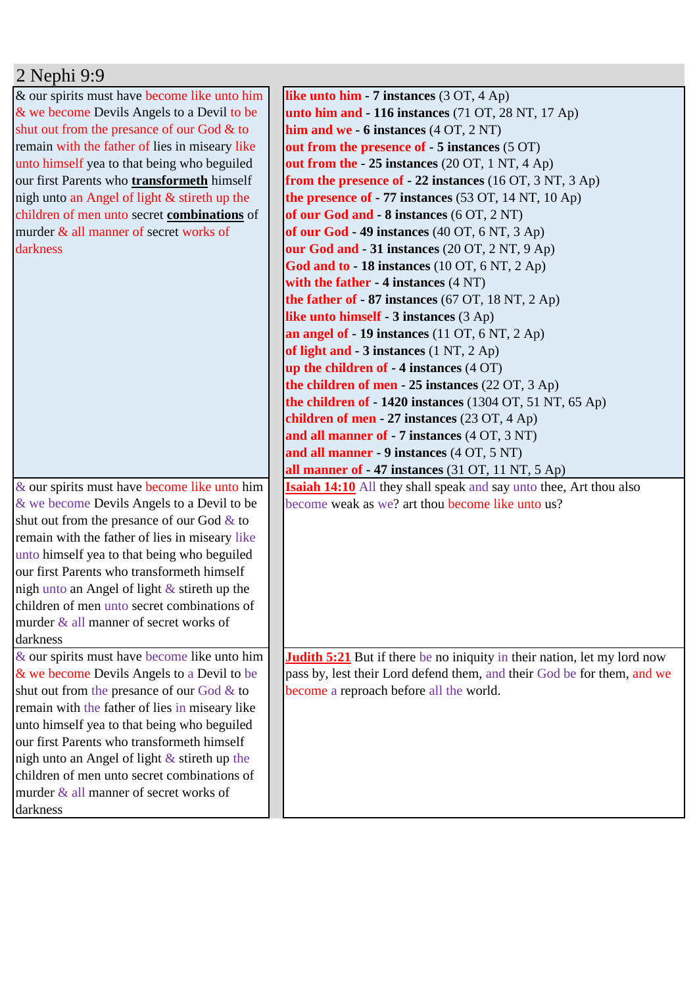## 2 Nephi 9:9

& our spirits must have become like unto him & we become Devils Angels to a Devil to be shut out from the presance of our God & to remain with the father of lies in miseary like unto himself yea to that being who beguiled our first Parents who **transformeth** himself nigh unto an Angel of light & stireth up the children of men unto secret **combinations** of murder & all manner of secret works of darkness

& our spirits must have become like unto him & we become Devils Angels to a Devil to be shut out from the presance of our God  $&$  to remain with the father of lies in miseary like unto himself yea to that being who beguiled our first Parents who transformeth himself nigh unto an Angel of light & stireth up the children of men unto secret combinations of murder & all manner of secret works of darkness

& our spirits must have become like unto him & we become Devils Angels to a Devil to be shut out from the presance of our God & to remain with the father of lies in miseary like unto himself yea to that being who beguiled our first Parents who transformeth himself nigh unto an Angel of light  $&$  stireth up the children of men unto secret combinations of murder & all manner of secret works of darkness

**like unto him - 7 instances** (3 OT, 4 Ap) **unto him and - 116 instances** (71 OT, 28 NT, 17 Ap) **him and we - 6 instances** (4 OT, 2 NT) **out from the presence of - 5 instances** (5 OT) **out from the - 25 instances** (20 OT, 1 NT, 4 Ap) **from the presence of - 22 instances** (16 OT, 3 NT, 3 Ap) **the presence of - 77 instances** (53 OT, 14 NT, 10 Ap) **of our God and - 8 instances** (6 OT, 2 NT) **of our God - 49 instances** (40 OT, 6 NT, 3 Ap) **our God and - 31 instances** (20 OT, 2 NT, 9 Ap) **God and to - 18 instances** (10 OT, 6 NT, 2 Ap) **with the father - 4 instances** (4 NT) **the father of - 87 instances** (67 OT, 18 NT, 2 Ap) **like unto himself - 3 instances** (3 Ap) **an angel of - 19 instances** (11 OT, 6 NT, 2 Ap) **of light and - 3 instances** (1 NT, 2 Ap) **up the children of - 4 instances** (4 OT) **the children of men - 25 instances** (22 OT, 3 Ap) **the children of - 1420 instances** (1304 OT, 51 NT, 65 Ap) **children of men - 27 instances** (23 OT, 4 Ap) **and all manner of - 7 instances** (4 OT, 3 NT) **and all manner - 9 instances** (4 OT, 5 NT) **all manner of - 47 instances** (31 OT, 11 NT, 5 Ap) **Isaiah 14:10** All they shall speak and say unto thee, Art thou also become weak as we? art thou become like unto us?

**Judith 5:21** But if there be no iniquity in their nation, let my lord now pass by, lest their Lord defend them, and their God be for them, and we become a reproach before all the world.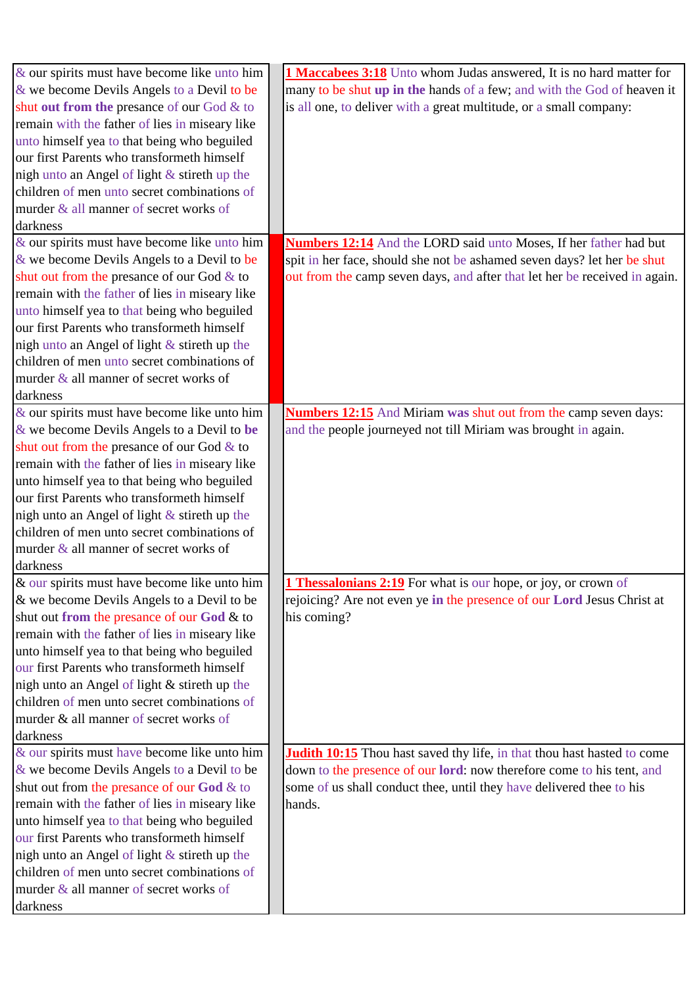| $\&$ our spirits must have become like unto him | <b>1 Maccabees 3:18</b> Unto whom Judas answered, It is no hard matter for     |
|-------------------------------------------------|--------------------------------------------------------------------------------|
| & we become Devils Angels to a Devil to be      | many to be shut up in the hands of a few; and with the God of heaven it        |
| shut out from the presance of our God & to      | is all one, to deliver with a great multitude, or a small company:             |
| remain with the father of lies in miseary like  |                                                                                |
| unto himself yea to that being who beguiled     |                                                                                |
| our first Parents who transformeth himself      |                                                                                |
| nigh unto an Angel of light & stireth up the    |                                                                                |
| children of men unto secret combinations of     |                                                                                |
| murder & all manner of secret works of          |                                                                                |
| darkness                                        |                                                                                |
| & our spirits must have become like unto him    | Numbers 12:14 And the LORD said unto Moses, If her father had but              |
| & we become Devils Angels to a Devil to be      | spit in her face, should she not be ashamed seven days? let her be shut        |
| shut out from the presance of our God & to      | out from the camp seven days, and after that let her be received in again.     |
| remain with the father of lies in miseary like  |                                                                                |
| unto himself yea to that being who beguiled     |                                                                                |
| our first Parents who transformeth himself      |                                                                                |
| nigh unto an Angel of light & stireth up the    |                                                                                |
| children of men unto secret combinations of     |                                                                                |
| murder & all manner of secret works of          |                                                                                |
| darkness                                        |                                                                                |
| & our spirits must have become like unto him    | <b>Numbers 12:15</b> And Miriam was shut out from the camp seven days:         |
| & we become Devils Angels to a Devil to be      | and the people journeyed not till Miriam was brought in again.                 |
| shut out from the presance of our God & to      |                                                                                |
| remain with the father of lies in miseary like  |                                                                                |
| unto himself yea to that being who beguiled     |                                                                                |
| our first Parents who transformeth himself      |                                                                                |
| nigh unto an Angel of light $&$ stireth up the  |                                                                                |
| children of men unto secret combinations of     |                                                                                |
| murder & all manner of secret works of          |                                                                                |
| darkness                                        |                                                                                |
| & our spirits must have become like unto him    | <b>1 Thessalonians 2:19</b> For what is our hope, or joy, or crown of          |
| & we become Devils Angels to a Devil to be      | rejoicing? Are not even ye in the presence of our Lord Jesus Christ at         |
| shut out from the presance of our God & to      | his coming?                                                                    |
| remain with the father of lies in miseary like  |                                                                                |
| unto himself yea to that being who beguiled     |                                                                                |
| our first Parents who transformeth himself      |                                                                                |
| nigh unto an Angel of light & stireth up the    |                                                                                |
| children of men unto secret combinations of     |                                                                                |
| murder & all manner of secret works of          |                                                                                |
| darkness                                        |                                                                                |
| & our spirits must have become like unto him    | <b>Judith 10:15</b> Thou hast saved thy life, in that thou hast hasted to come |
| & we become Devils Angels to a Devil to be      | down to the presence of our lord: now therefore come to his tent, and          |
| shut out from the presance of our God & to      | some of us shall conduct thee, until they have delivered thee to his           |
| remain with the father of lies in miseary like  | hands.                                                                         |
| unto himself yea to that being who beguiled     |                                                                                |
| our first Parents who transformeth himself      |                                                                                |
| nigh unto an Angel of light $&$ stireth up the  |                                                                                |
| children of men unto secret combinations of     |                                                                                |
| murder & all manner of secret works of          |                                                                                |
| darkness                                        |                                                                                |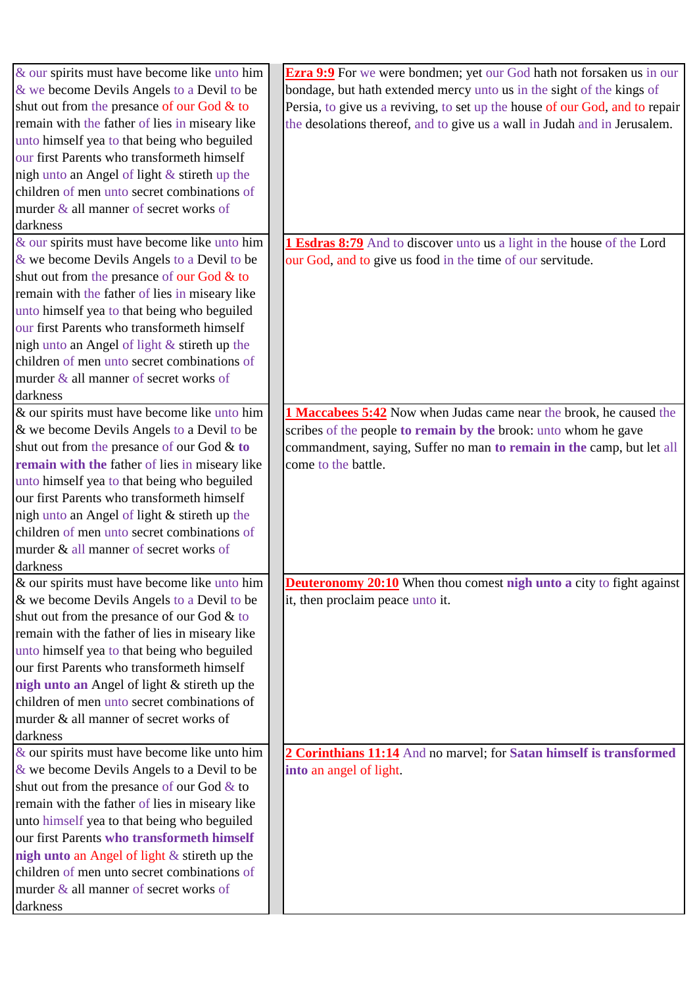| & our spirits must have become like unto him    | <b>Ezra 9:9</b> For we were bondmen; yet our God hath not forsaken us in our |
|-------------------------------------------------|------------------------------------------------------------------------------|
| & we become Devils Angels to a Devil to be      | bondage, but hath extended mercy unto us in the sight of the kings of        |
| shut out from the presance of our God & to      | Persia, to give us a reviving, to set up the house of our God, and to repair |
| remain with the father of lies in miseary like  | the desolations thereof, and to give us a wall in Judah and in Jerusalem.    |
| unto himself yea to that being who beguiled     |                                                                              |
| our first Parents who transformeth himself      |                                                                              |
| nigh unto an Angel of light & stireth up the    |                                                                              |
| children of men unto secret combinations of     |                                                                              |
| murder & all manner of secret works of          |                                                                              |
| darkness                                        |                                                                              |
| & our spirits must have become like unto him    | 1 Esdras 8:79 And to discover unto us a light in the house of the Lord       |
| & we become Devils Angels to a Devil to be      | our God, and to give us food in the time of our servitude.                   |
| shut out from the presance of our God & to      |                                                                              |
| remain with the father of lies in miseary like  |                                                                              |
| unto himself yea to that being who beguiled     |                                                                              |
| our first Parents who transformeth himself      |                                                                              |
| nigh unto an Angel of light & stireth up the    |                                                                              |
| children of men unto secret combinations of     |                                                                              |
| murder & all manner of secret works of          |                                                                              |
| darkness                                        |                                                                              |
| & our spirits must have become like unto him    | 1 Maccabees 5:42 Now when Judas came near the brook, he caused the           |
| & we become Devils Angels to a Devil to be      | scribes of the people to remain by the brook: unto whom he gave              |
| shut out from the presance of our God & to      | commandment, saying, Suffer no man to remain in the camp, but let all        |
| remain with the father of lies in miseary like  | come to the battle.                                                          |
| unto himself yea to that being who beguiled     |                                                                              |
| our first Parents who transformeth himself      |                                                                              |
| nigh unto an Angel of light & stireth up the    |                                                                              |
| children of men unto secret combinations of     |                                                                              |
| murder & all manner of secret works of          |                                                                              |
| darkness                                        |                                                                              |
| & our spirits must have become like unto him    | <b>Deuteronomy 20:10</b> When thou comest nigh unto a city to fight against  |
| & we become Devils Angels to a Devil to be      | it, then proclaim peace unto it.                                             |
| shut out from the presance of our God & to      |                                                                              |
| remain with the father of lies in miseary like  |                                                                              |
| unto himself yea to that being who beguiled     |                                                                              |
| our first Parents who transformeth himself      |                                                                              |
| nigh unto an Angel of light & stireth up the    |                                                                              |
| children of men unto secret combinations of     |                                                                              |
| murder & all manner of secret works of          |                                                                              |
| darkness                                        |                                                                              |
| & our spirits must have become like unto him    | 2 Corinthians 11:14 And no marvel; for Satan himself is transformed          |
| & we become Devils Angels to a Devil to be      | into an angel of light.                                                      |
| shut out from the presance of our God & to      |                                                                              |
| remain with the father of lies in miseary like  |                                                                              |
| unto himself yea to that being who beguiled     |                                                                              |
| our first Parents who transformeth himself      |                                                                              |
| nigh unto an Angel of light $\&$ stireth up the |                                                                              |
| children of men unto secret combinations of     |                                                                              |
| murder & all manner of secret works of          |                                                                              |
| darkness                                        |                                                                              |
|                                                 |                                                                              |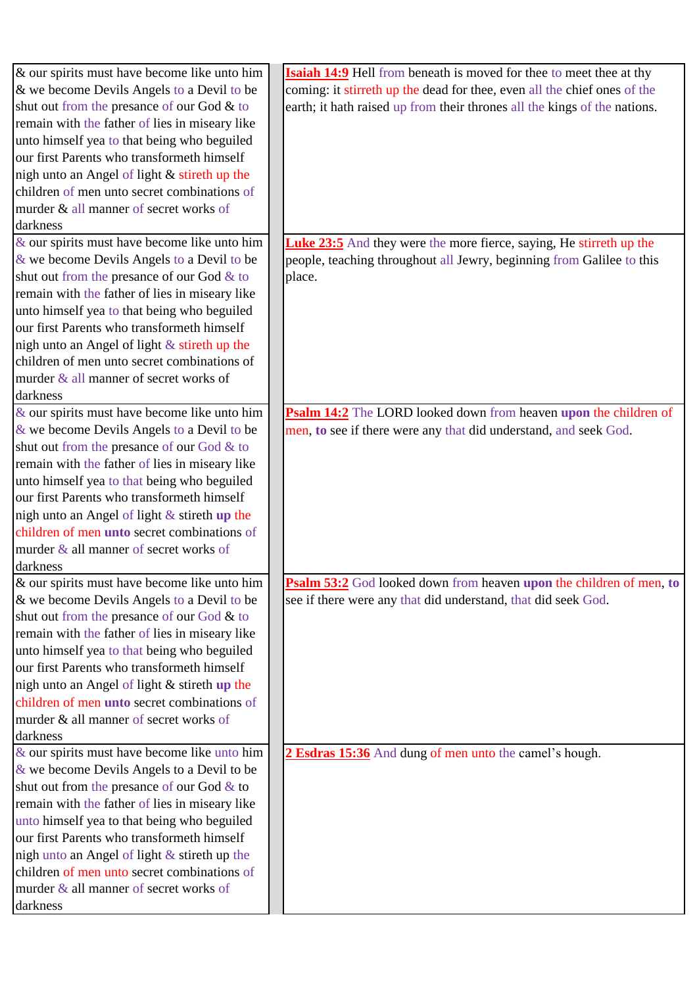| $\&$ our spirits must have become like unto him | <b>Isaiah 14:9</b> Hell from beneath is moved for thee to meet thee at thy |
|-------------------------------------------------|----------------------------------------------------------------------------|
| & we become Devils Angels to a Devil to be      | coming: it stirreth up the dead for thee, even all the chief ones of the   |
| shut out from the presance of our God & to      | earth; it hath raised up from their thrones all the kings of the nations.  |
| remain with the father of lies in miseary like  |                                                                            |
| unto himself yea to that being who beguiled     |                                                                            |
| our first Parents who transformeth himself      |                                                                            |
| nigh unto an Angel of light & stireth up the    |                                                                            |
| children of men unto secret combinations of     |                                                                            |
| murder & all manner of secret works of          |                                                                            |
| darkness                                        |                                                                            |
| $\&$ our spirits must have become like unto him | <b>Luke 23:5</b> And they were the more fierce, saying, He stirreth up the |
| & we become Devils Angels to a Devil to be      | people, teaching throughout all Jewry, beginning from Galilee to this      |
| shut out from the presance of our God & to      | place.                                                                     |
| remain with the father of lies in miseary like  |                                                                            |
| unto himself yea to that being who beguiled     |                                                                            |
| our first Parents who transformeth himself      |                                                                            |
|                                                 |                                                                            |
| nigh unto an Angel of light & stireth up the    |                                                                            |
| children of men unto secret combinations of     |                                                                            |
| murder & all manner of secret works of          |                                                                            |
| darkness                                        |                                                                            |
| $\&$ our spirits must have become like unto him | Psalm 14:2 The LORD looked down from heaven upon the children of           |
| & we become Devils Angels to a Devil to be      | men, to see if there were any that did understand, and seek God.           |
| shut out from the presance of our God & to      |                                                                            |
| remain with the father of lies in miseary like  |                                                                            |
| unto himself yea to that being who beguiled     |                                                                            |
| our first Parents who transformeth himself      |                                                                            |
| nigh unto an Angel of light $&$ stireth up the  |                                                                            |
| children of men unto secret combinations of     |                                                                            |
| murder & all manner of secret works of          |                                                                            |
| darkness                                        |                                                                            |
| & our spirits must have become like unto him    | <b>Psalm 53:2</b> God looked down from heaven upon the children of men, to |
| & we become Devils Angels to a Devil to be      | see if there were any that did understand, that did seek God.              |
| shut out from the presance of our God & to      |                                                                            |
| remain with the father of lies in miseary like  |                                                                            |
| unto himself yea to that being who beguiled     |                                                                            |
| our first Parents who transformeth himself      |                                                                            |
| nigh unto an Angel of light & stireth up the    |                                                                            |
| children of men unto secret combinations of     |                                                                            |
| murder & all manner of secret works of          |                                                                            |
| darkness                                        |                                                                            |
| & our spirits must have become like unto him    | 2 Esdras 15:36 And dung of men unto the camel's hough.                     |
| & we become Devils Angels to a Devil to be      |                                                                            |
| shut out from the presance of our God & to      |                                                                            |
| remain with the father of lies in miseary like  |                                                                            |
| unto himself yea to that being who beguiled     |                                                                            |
| our first Parents who transformeth himself      |                                                                            |
| nigh unto an Angel of light & stireth up the    |                                                                            |
| children of men unto secret combinations of     |                                                                            |
| murder & all manner of secret works of          |                                                                            |
| darkness                                        |                                                                            |